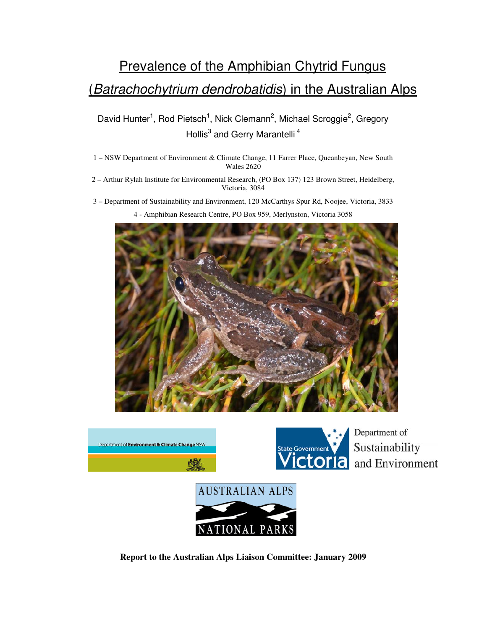# Prevalence of the Amphibian Chytrid Fungus (Batrachochytrium dendrobatidis) in the Australian Alps

David Hunter<sup>1</sup>, Rod Pietsch<sup>1</sup>, Nick Clemann<sup>2</sup>, Michael Scroggie<sup>2</sup>, Gregory Hollis<sup>3</sup> and Gerry Marantelli<sup>4</sup>

- 1 NSW Department of Environment & Climate Change, 11 Farrer Place, Queanbeyan, New South Wales 2620
- 2 Arthur Rylah Institute for Environmental Research, (PO Box 137) 123 Brown Street, Heidelberg, Victoria, 3084
- 3 Department of Sustainability and Environment, 120 McCarthys Spur Rd, Noojee, Victoria, 3833 4 - Amphibian Research Centre, PO Box 959, Merlynston, Victoria 3058





Department of Sustainability and Environment



 **Report to the Australian Alps Liaison Committee: January 2009**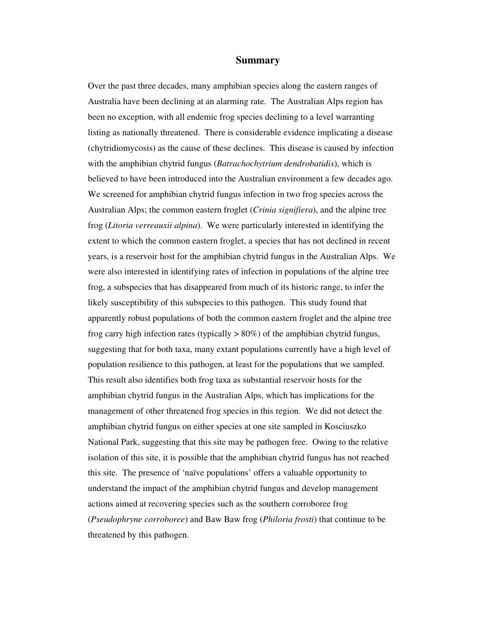#### **Summary**

 Over the past three decades, many amphibian species along the eastern ranges of Australia have been declining at an alarming rate. The Australian Alps region has been no exception, with all endemic frog species declining to a level warranting listing as nationally threatened. There is considerable evidence implicating a disease (chytridiomycosis) as the cause of these declines. This disease is caused by infection with the amphibian chytrid fungus (*Batrachochytrium dendrobatidis*), which is believed to have been introduced into the Australian environment a few decades ago. We screened for amphibian chytrid fungus infection in two frog species across the Australian Alps; the common eastern froglet (*Crinia signifiera*), and the alpine tree frog (*Litoria verreauxii alpina*). We were particularly interested in identifying the extent to which the common eastern froglet, a species that has not declined in recent years, is a reservoir host for the amphibian chytrid fungus in the Australian Alps. We were also interested in identifying rates of infection in populations of the alpine tree frog, a subspecies that has disappeared from much of its historic range, to infer the likely susceptibility of this subspecies to this pathogen. This study found that apparently robust populations of both the common eastern froglet and the alpine tree frog carry high infection rates (typically > 80%) of the amphibian chytrid fungus, suggesting that for both taxa, many extant populations currently have a high level of population resilience to this pathogen, at least for the populations that we sampled. This result also identifies both frog taxa as substantial reservoir hosts for the amphibian chytrid fungus in the Australian Alps, which has implications for the management of other threatened frog species in this region. We did not detect the amphibian chytrid fungus on either species at one site sampled in Kosciuszko National Park, suggesting that this site may be pathogen free. Owing to the relative isolation of this site, it is possible that the amphibian chytrid fungus has not reached this site. The presence of 'naïve populations' offers a valuable opportunity to understand the impact of the amphibian chytrid fungus and develop management actions aimed at recovering species such as the southern corroboree frog (*Pseudophryne corroboree*) and Baw Baw frog (*Philoria frosti*) that continue to be threatened by this pathogen.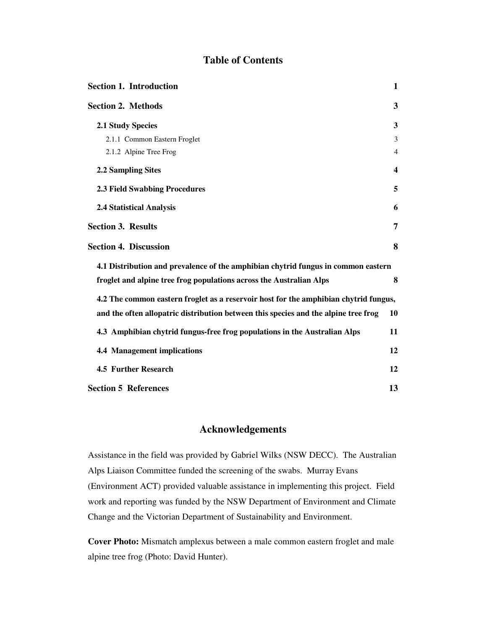# **Table of Contents**

| <b>Section 1. Introduction</b>                                                       | $\mathbf{1}$     |
|--------------------------------------------------------------------------------------|------------------|
| <b>Section 2. Methods</b>                                                            | 3                |
| <b>2.1 Study Species</b>                                                             | 3                |
| 2.1.1 Common Eastern Froglet                                                         | 3                |
| 2.1.2 Alpine Tree Frog                                                               | 4                |
| 2.2 Sampling Sites                                                                   | $\boldsymbol{4}$ |
| <b>2.3 Field Swabbing Procedures</b>                                                 | 5                |
| <b>2.4 Statistical Analysis</b>                                                      | 6                |
| <b>Section 3. Results</b>                                                            | 7                |
| <b>Section 4. Discussion</b>                                                         | 8                |
| 4.1 Distribution and prevalence of the amphibian chytrid fungus in common eastern    |                  |
| froglet and alpine tree frog populations across the Australian Alps                  | 8                |
| 4.2 The common eastern froglet as a reservoir host for the amphibian chytrid fungus, |                  |
| and the often allopatric distribution between this species and the alpine tree frog  | 10               |
| 4.3 Amphibian chytrid fungus-free frog populations in the Australian Alps            | 11               |
| <b>4.4 Management implications</b>                                                   | 12               |
| <b>4.5 Further Research</b>                                                          | 12               |
| <b>Section 5 References</b>                                                          | 13               |

# **Acknowledgements**

Assistance in the field was provided by Gabriel Wilks (NSW DECC). The Australian Alps Liaison Committee funded the screening of the swabs. Murray Evans (Environment ACT) provided valuable assistance in implementing this project. Field work and reporting was funded by the NSW Department of Environment and Climate Change and the Victorian Department of Sustainability and Environment.

**Cover Photo:** Mismatch amplexus between a male common eastern froglet and male alpine tree frog (Photo: David Hunter).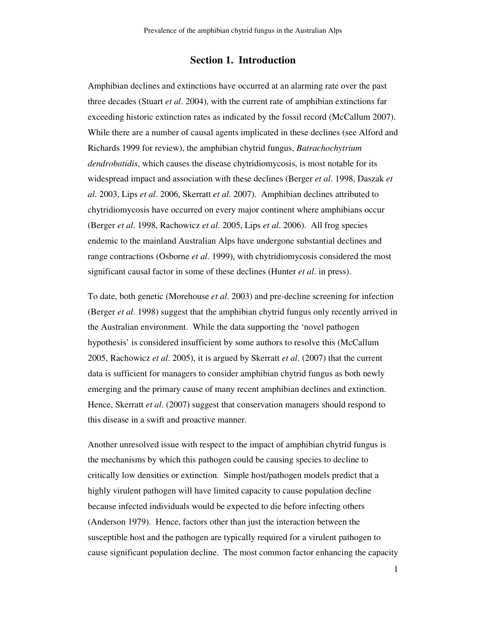# **Section 1. Introduction**

 Amphibian declines and extinctions have occurred at an alarming rate over the past three decades (Stuart *et al*. 2004), with the current rate of amphibian extinctions far exceeding historic extinction rates as indicated by the fossil record (McCallum 2007). While there are a number of causal agents implicated in these declines (see Alford and Richards 1999 for review), the amphibian chytrid fungus, *Batrachochytrium dendrobatidis*, which causes the disease chytridiomycosis, is most notable for its widespread impact and association with these declines (Berger *et al*. 1998, Daszak *et al*. 2003, Lips *et al*. 2006, Skerratt *et al*. 2007). Amphibian declines attributed to chytridiomycosis have occurred on every major continent where amphibians occur (Berger *et al*. 1998, Rachowicz *et al*. 2005, Lips *et al*. 2006). All frog species endemic to the mainland Australian Alps have undergone substantial declines and range contractions (Osborne *et al*. 1999), with chytridiomycosis considered the most significant causal factor in some of these declines (Hunter *et al*. in press).

 To date, both genetic (Morehouse *et al*. 2003) and pre-decline screening for infection (Berger *et al*. 1998) suggest that the amphibian chytrid fungus only recently arrived in the Australian environment. While the data supporting the 'novel pathogen hypothesis' is considered insufficient by some authors to resolve this (McCallum 2005, Rachowicz *et al*. 2005), it is argued by Skerratt *et al*. (2007) that the current data is sufficient for managers to consider amphibian chytrid fungus as both newly emerging and the primary cause of many recent amphibian declines and extinction. Hence, Skerratt *et al*. (2007) suggest that conservation managers should respond to this disease in a swift and proactive manner.

 Another unresolved issue with respect to the impact of amphibian chytrid fungus is the mechanisms by which this pathogen could be causing species to decline to critically low densities or extinction. Simple host/pathogen models predict that a highly virulent pathogen will have limited capacity to cause population decline because infected individuals would be expected to die before infecting others (Anderson 1979). Hence, factors other than just the interaction between the susceptible host and the pathogen are typically required for a virulent pathogen to cause significant population decline. The most common factor enhancing the capacity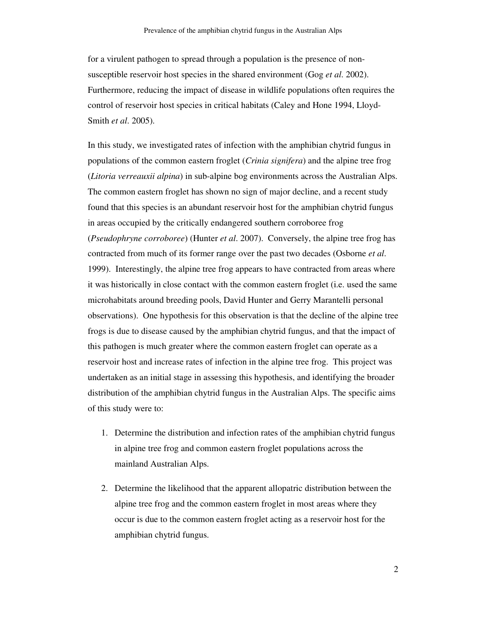for a virulent pathogen to spread through a population is the presence of non- susceptible reservoir host species in the shared environment (Gog *et al*. 2002). Furthermore, reducing the impact of disease in wildlife populations often requires the control of reservoir host species in critical habitats (Caley and Hone 1994, Lloyd-Smith *et al*. 2005).

 In this study, we investigated rates of infection with the amphibian chytrid fungus in populations of the common eastern froglet (*Crinia signifera*) and the alpine tree frog (*Litoria verreauxii alpina*) in sub-alpine bog environments across the Australian Alps. The common eastern froglet has shown no sign of major decline, and a recent study found that this species is an abundant reservoir host for the amphibian chytrid fungus in areas occupied by the critically endangered southern corroboree frog (*Pseudophryne corroboree*) (Hunter *et al*. 2007). Conversely, the alpine tree frog has contracted from much of its former range over the past two decades (Osborne *et al*. 1999). Interestingly, the alpine tree frog appears to have contracted from areas where it was historically in close contact with the common eastern froglet (i.e. used the same microhabitats around breeding pools, David Hunter and Gerry Marantelli personal observations). One hypothesis for this observation is that the decline of the alpine tree frogs is due to disease caused by the amphibian chytrid fungus, and that the impact of this pathogen is much greater where the common eastern froglet can operate as a reservoir host and increase rates of infection in the alpine tree frog. This project was undertaken as an initial stage in assessing this hypothesis, and identifying the broader distribution of the amphibian chytrid fungus in the Australian Alps. The specific aims of this study were to:

- 1. Determine the distribution and infection rates of the amphibian chytrid fungus in alpine tree frog and common eastern froglet populations across the mainland Australian Alps.
- 2. Determine the likelihood that the apparent allopatric distribution between the alpine tree frog and the common eastern froglet in most areas where they occur is due to the common eastern froglet acting as a reservoir host for the amphibian chytrid fungus.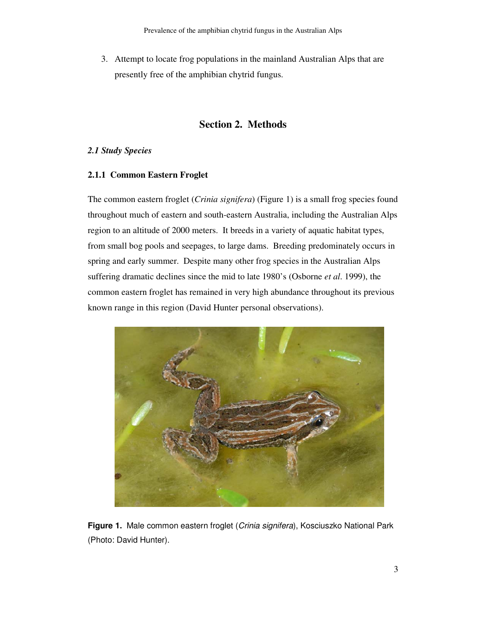3. Attempt to locate frog populations in the mainland Australian Alps that are presently free of the amphibian chytrid fungus.

# **Section 2. Methods**

## *2.1 Study Species*

## **2.1.1 Common Eastern Froglet**

 The common eastern froglet (*Crinia signifera*) (Figure 1) is a small frog species found throughout much of eastern and south-eastern Australia, including the Australian Alps region to an altitude of 2000 meters. It breeds in a variety of aquatic habitat types, from small bog pools and seepages, to large dams. Breeding predominately occurs in spring and early summer. Despite many other frog species in the Australian Alps suffering dramatic declines since the mid to late 1980's (Osborne *et al*. 1999), the common eastern froglet has remained in very high abundance throughout its previous known range in this region (David Hunter personal observations).



 **Figure 1.** Male common eastern froglet (Crinia signifera), Kosciuszko National Park (Photo: David Hunter).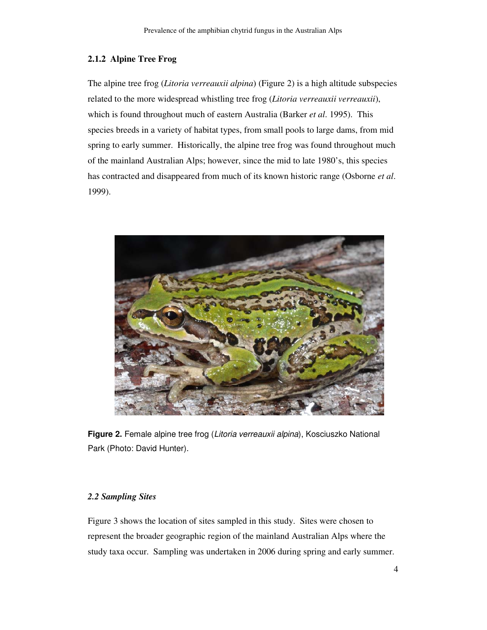#### **2.1.2 Alpine Tree Frog**

 The alpine tree frog (*Litoria verreauxii alpina*) (Figure 2) is a high altitude subspecies related to the more widespread whistling tree frog (*Litoria verreauxii verreauxii*), which is found throughout much of eastern Australia (Barker *et al*. 1995). This species breeds in a variety of habitat types, from small pools to large dams, from mid spring to early summer. Historically, the alpine tree frog was found throughout much of the mainland Australian Alps; however, since the mid to late 1980's, this species has contracted and disappeared from much of its known historic range (Osborne *et al*. 1999).



 **Figure 2.** Female alpine tree frog (Litoria verreauxii alpina), Kosciuszko National Park (Photo: David Hunter).

#### *2.2 Sampling Sites*

 Figure 3 shows the location of sites sampled in this study. Sites were chosen to represent the broader geographic region of the mainland Australian Alps where the study taxa occur. Sampling was undertaken in 2006 during spring and early summer.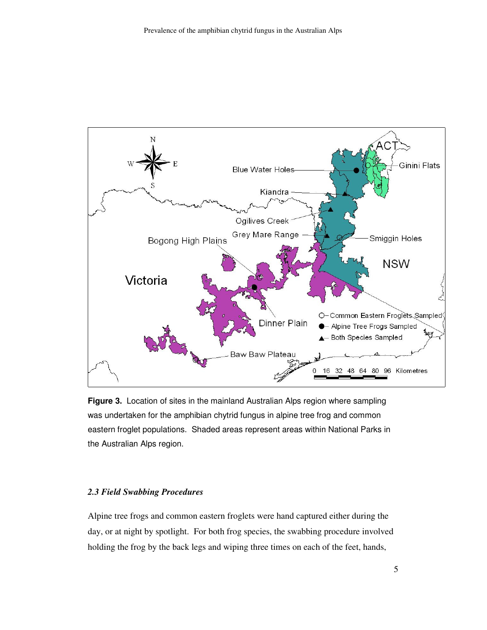<span id="page-7-0"></span>

 **Figure 3.** Location of sites in the mainland Australian Alps region where sampling was undertaken for the amphibian chytrid fungus in alpine tree frog and common eastern froglet populations. Shaded areas represent areas within National Parks in the Australian Alps region.

#### *2.3 Field Swabbing Procedures*

 Alpine tree frogs and common eastern froglets were hand captured either during the day, or at night by spotlight. For both frog species, the swabbing procedure involved holding the frog by the back legs and wiping three times on each of the feet, hands,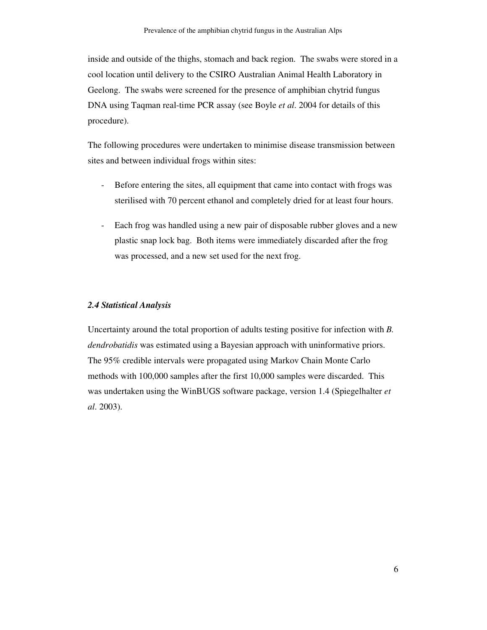inside and outside of the thighs, stomach and back region. The swabs were stored in a cool location until delivery to the CSIRO Australian Animal Health Laboratory in Geelong. The swabs were screened for the presence of amphibian chytrid fungus DNA using Taqman real-time PCR assay (see Boyle *et al*. 2004 for details of this procedure).

 The following procedures were undertaken to minimise disease transmission between sites and between individual frogs within sites:

- - Before entering the sites, all equipment that came into contact with frogs was sterilised with 70 percent ethanol and completely dried for at least four hours.
- - Each frog was handled using a new pair of disposable rubber gloves and a new plastic snap lock bag. Both items were immediately discarded after the frog was processed, and a new set used for the next frog.

#### *2.4 Statistical Analysis*

 Uncertainty around the total proportion of adults testing positive for infection with *B. dendrobatidis* was estimated using a Bayesian approach with uninformative priors. The 95% credible intervals were propagated using Markov Chain Monte Carlo methods with 100,000 samples after the first 10,000 samples were discarded. This was undertaken using the WinBUGS software package, version 1.4 (Spiegelhalter *et al*. 2003).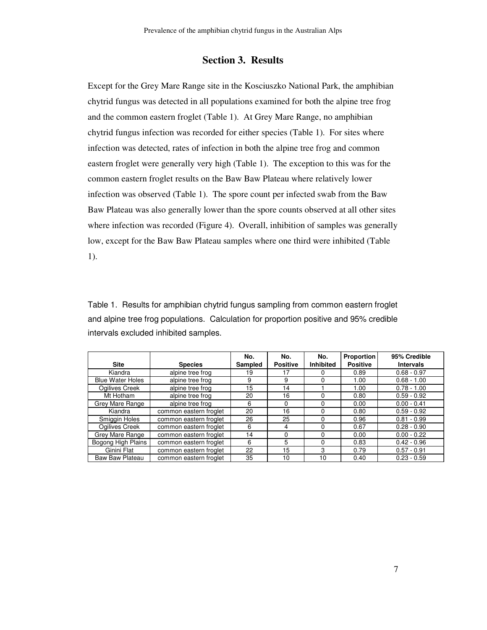# **Section 3. Results**

 Except for the Grey Mare Range site in the Kosciuszko National Park, the amphibian chytrid fungus was detected in all populations examined for both the alpine tree frog and the common eastern froglet (Table 1). At Grey Mare Range, no amphibian chytrid fungus infection was recorded for either species (Table 1). For sites where infection was detected, rates of infection in both the alpine tree frog and common eastern froglet were generally very high (Table 1). The exception to this was for the common eastern froglet results on the Baw Baw Plateau where relatively lower infection was observed (Table 1). The spore count per infected swab from the Baw Baw Plateau was also generally lower than the spore counts observed at all other sites where infection was recorded (Figure 4). Overall, inhibition of samples was generally low, except for the Baw Baw Plateau samples where one third were inhibited (Table 1).

 Table 1. Results for amphibian chytrid fungus sampling from common eastern froglet and alpine tree frog populations. Calculation for proportion positive and 95% credible intervals excluded inhibited samples.

|                         |                        | No.     | No.             | No.       | <b>Proportion</b> | 95% Credible     |
|-------------------------|------------------------|---------|-----------------|-----------|-------------------|------------------|
| <b>Site</b>             | <b>Species</b>         | Sampled | <b>Positive</b> | Inhibited | <b>Positive</b>   | <b>Intervals</b> |
| Kiandra                 | alpine tree frog       | 19      | 17              | O         | 0.89              | $0.68 - 0.97$    |
| <b>Blue Water Holes</b> | alpine tree frog       | 9       | 9               | 0         | 1.00              | $0.68 - 1.00$    |
| Ogilives Creek          | alpine tree frog       | 15      | 14              |           | 1.00              | $0.78 - 1.00$    |
| Mt Hotham               | alpine tree frog       | 20      | 16              | 0         | 0.80              | $0.59 - 0.92$    |
| Grey Mare Range         | alpine tree frog       | 6       | $\Omega$        | $\Omega$  | 0.00              | $0.00 - 0.41$    |
| Kiandra                 | common eastern froglet | 20      | 16              | 0         | 0.80              | $0.59 - 0.92$    |
| Smiggin Holes           | common eastern froglet | 26      | 25              | 0         | 0.96              | $0.81 - 0.99$    |
| Ogilives Creek          | common eastern froglet | 6       | 4               | 0         | 0.67              | $0.28 - 0.90$    |
| Grey Mare Range         | common eastern froglet | 14      | $\Omega$        | $\Omega$  | 0.00              | $0.00 - 0.22$    |
| Bogong High Plains      | common eastern froglet | 6       | 5               | $\Omega$  | 0.83              | $0.42 - 0.96$    |
| Ginini Flat             | common eastern froglet | 22      | 15              | 3         | 0.79              | $0.57 - 0.91$    |
| <b>Baw Baw Plateau</b>  | common eastern froglet | 35      | 10              | 10        | 0.40              | $0.23 - 0.59$    |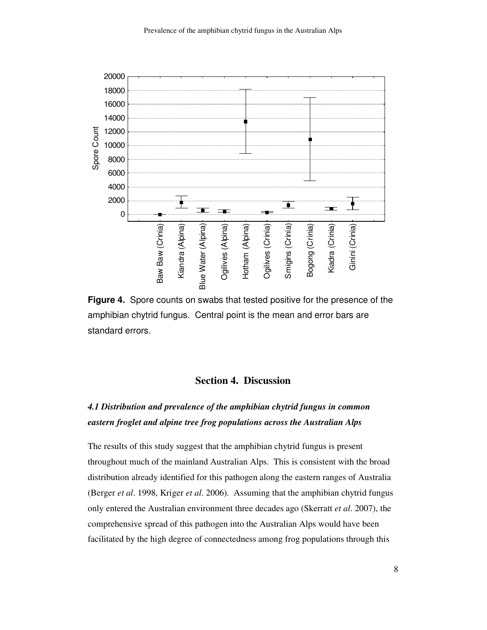

 **Figure 4.** Spore counts on swabs that tested positive for the presence of the amphibian chytrid fungus. Central point is the mean and error bars are standard errors.

# **Section 4. Discussion**

# *4.1 Distribution and prevalence of the amphibian chytrid fungus in common eastern froglet and alpine tree frog populations across the Australian Alps*

 The results of this study suggest that the amphibian chytrid fungus is present throughout much of the mainland Australian Alps. This is consistent with the broad distribution already identified for this pathogen along the eastern ranges of Australia (Berger *et al*. 1998, Kriger *et al*. 2006). Assuming that the amphibian chytrid fungus only entered the Australian environment three decades ago (Skerratt *et al*. 2007), the comprehensive spread of this pathogen into the Australian Alps would have been facilitated by the high degree of connectedness among frog populations through this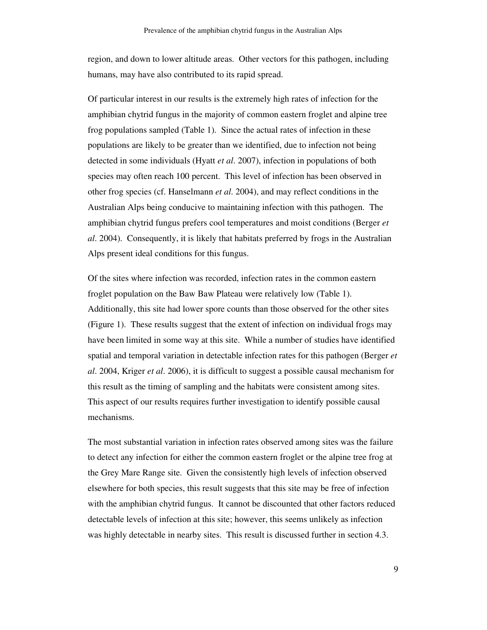region, and down to lower altitude areas. Other vectors for this pathogen, including humans, may have also contributed to its rapid spread.

 Of particular interest in our results is the extremely high rates of infection for the amphibian chytrid fungus in the majority of common eastern froglet and alpine tree frog populations sampled (Table 1). Since the actual rates of infection in these populations are likely to be greater than we identified, due to infection not being detected in some individuals (Hyatt *et al*. 2007), infection in populations of both species may often reach 100 percent. This level of infection has been observed in other frog species (cf. Hanselmann *et al*. 2004), and may reflect conditions in the Australian Alps being conducive to maintaining infection with this pathogen. The amphibian chytrid fungus prefers cool temperatures and moist conditions (Berger *et al*. 2004). Consequently, it is likely that habitats preferred by frogs in the Australian Alps present ideal conditions for this fungus.

 Of the sites where infection was recorded, infection rates in the common eastern froglet population on the Baw Baw Plateau were relatively low (Table 1). Additionally, this site had lower spore counts than those observed for the other sites (Figure 1). These results suggest that the extent of infection on individual frogs may have been limited in some way at this site. While a number of studies have identified spatial and temporal variation in detectable infection rates for this pathogen (Berger *et al*. 2004, Kriger *et al*. 2006), it is difficult to suggest a possible causal mechanism for this result as the timing of sampling and the habitats were consistent among sites. This aspect of our results requires further investigation to identify possible causal mechanisms.

 The most substantial variation in infection rates observed among sites was the failure to detect any infection for either the common eastern froglet or the alpine tree frog at the Grey Mare Range site. Given the consistently high levels of infection observed elsewhere for both species, this result suggests that this site may be free of infection with the amphibian chytrid fungus. It cannot be discounted that other factors reduced detectable levels of infection at this site; however, this seems unlikely as infection was highly detectable in nearby sites. This result is discussed further in section 4.3.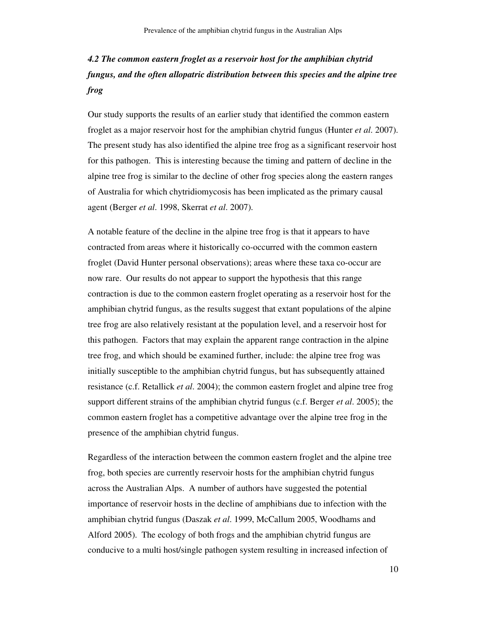# *4.2 The common eastern froglet as a reservoir host for the amphibian chytrid fungus, and the often allopatric distribution between this species and the alpine tree frog*

 Our study supports the results of an earlier study that identified the common eastern froglet as a major reservoir host for the amphibian chytrid fungus (Hunter *et al*. 2007). The present study has also identified the alpine tree frog as a significant reservoir host for this pathogen. This is interesting because the timing and pattern of decline in the alpine tree frog is similar to the decline of other frog species along the eastern ranges of Australia for which chytridiomycosis has been implicated as the primary causal agent (Berger *et al*. 1998, Skerrat *et al*. 2007).

 A notable feature of the decline in the alpine tree frog is that it appears to have contracted from areas where it historically co-occurred with the common eastern froglet (David Hunter personal observations); areas where these taxa co-occur are now rare. Our results do not appear to support the hypothesis that this range contraction is due to the common eastern froglet operating as a reservoir host for the amphibian chytrid fungus, as the results suggest that extant populations of the alpine tree frog are also relatively resistant at the population level, and a reservoir host for this pathogen. Factors that may explain the apparent range contraction in the alpine tree frog, and which should be examined further, include: the alpine tree frog was initially susceptible to the amphibian chytrid fungus, but has subsequently attained resistance (c.f. Retallick *et al*. 2004); the common eastern froglet and alpine tree frog support different strains of the amphibian chytrid fungus (c.f. Berger *et al*. 2005); the common eastern froglet has a competitive advantage over the alpine tree frog in the presence of the amphibian chytrid fungus.

 Regardless of the interaction between the common eastern froglet and the alpine tree frog, both species are currently reservoir hosts for the amphibian chytrid fungus across the Australian Alps. A number of authors have suggested the potential importance of reservoir hosts in the decline of amphibians due to infection with the amphibian chytrid fungus (Daszak *et al*. 1999, McCallum 2005, Woodhams and Alford 2005). The ecology of both frogs and the amphibian chytrid fungus are conducive to a multi host/single pathogen system resulting in increased infection of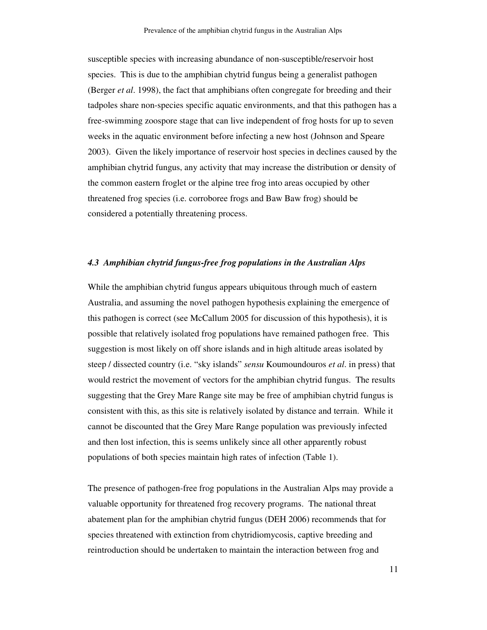susceptible species with increasing abundance of non-susceptible/reservoir host species. This is due to the amphibian chytrid fungus being a generalist pathogen (Berger *et al*. 1998), the fact that amphibians often congregate for breeding and their tadpoles share non-species specific aquatic environments, and that this pathogen has a free-swimming zoospore stage that can live independent of frog hosts for up to seven weeks in the aquatic environment before infecting a new host (Johnson and Speare 2003). Given the likely importance of reservoir host species in declines caused by the amphibian chytrid fungus, any activity that may increase the distribution or density of the common eastern froglet or the alpine tree frog into areas occupied by other threatened frog species (i.e. corroboree frogs and Baw Baw frog) should be considered a potentially threatening process.

#### *4.3 Amphibian chytrid fungus-free frog populations in the Australian Alps*

 While the amphibian chytrid fungus appears ubiquitous through much of eastern Australia, and assuming the novel pathogen hypothesis explaining the emergence of this pathogen is correct (see McCallum 2005 for discussion of this hypothesis), it is possible that relatively isolated frog populations have remained pathogen free. This suggestion is most likely on off shore islands and in high altitude areas isolated by steep / dissected country (i.e. "sky islands" *sensu* Koumoundouros *et al*. in press) that would restrict the movement of vectors for the amphibian chytrid fungus. The results suggesting that the Grey Mare Range site may be free of amphibian chytrid fungus is consistent with this, as this site is relatively isolated by distance and terrain. While it cannot be discounted that the Grey Mare Range population was previously infected and then lost infection, this is seems unlikely since all other apparently robust populations of both species maintain high rates of infection (Table 1).

 The presence of pathogen-free frog populations in the Australian Alps may provide a valuable opportunity for threatened frog recovery programs. The national threat abatement plan for the amphibian chytrid fungus (DEH 2006) recommends that for species threatened with extinction from chytridiomycosis, captive breeding and reintroduction should be undertaken to maintain the interaction between frog and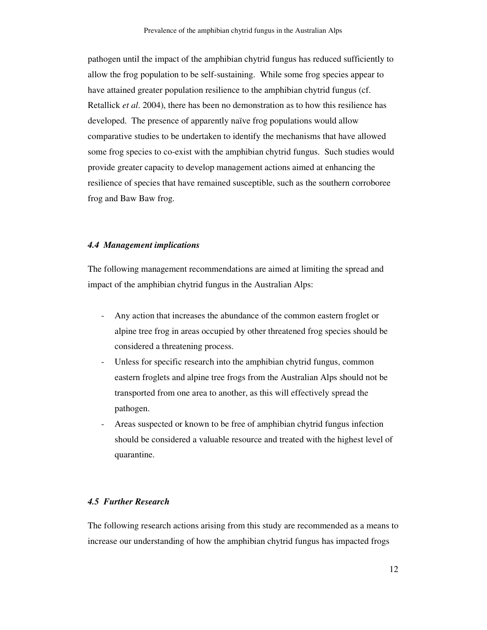pathogen until the impact of the amphibian chytrid fungus has reduced sufficiently to allow the frog population to be self-sustaining. While some frog species appear to have attained greater population resilience to the amphibian chytrid fungus (cf. Retallick *et al*. 2004), there has been no demonstration as to how this resilience has developed. The presence of apparently naïve frog populations would allow comparative studies to be undertaken to identify the mechanisms that have allowed some frog species to co-exist with the amphibian chytrid fungus. Such studies would provide greater capacity to develop management actions aimed at enhancing the resilience of species that have remained susceptible, such as the southern corroboree frog and Baw Baw frog.

#### *4.4 Management implications*

 The following management recommendations are aimed at limiting the spread and impact of the amphibian chytrid fungus in the Australian Alps:

- - Any action that increases the abundance of the common eastern froglet or alpine tree frog in areas occupied by other threatened frog species should be considered a threatening process.
- - Unless for specific research into the amphibian chytrid fungus, common eastern froglets and alpine tree frogs from the Australian Alps should not be transported from one area to another, as this will effectively spread the pathogen.
- - Areas suspected or known to be free of amphibian chytrid fungus infection should be considered a valuable resource and treated with the highest level of quarantine.

#### *4.5 Further Research*

 The following research actions arising from this study are recommended as a means to increase our understanding of how the amphibian chytrid fungus has impacted frogs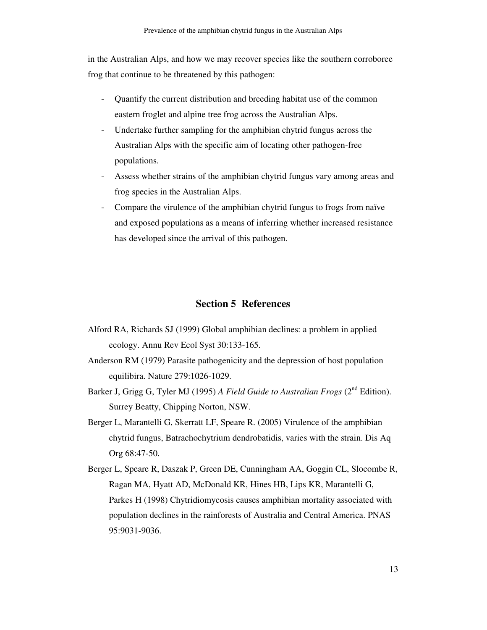in the Australian Alps, and how we may recover species like the southern corroboree frog that continue to be threatened by this pathogen:

- - Quantify the current distribution and breeding habitat use of the common eastern froglet and alpine tree frog across the Australian Alps.
- - Undertake further sampling for the amphibian chytrid fungus across the Australian Alps with the specific aim of locating other pathogen-free populations.
- - Assess whether strains of the amphibian chytrid fungus vary among areas and frog species in the Australian Alps.
- - Compare the virulence of the amphibian chytrid fungus to frogs from naïve and exposed populations as a means of inferring whether increased resistance has developed since the arrival of this pathogen.

# **Section 5 References**

- Alford RA, Richards SJ (1999) Global amphibian declines: a problem in applied ecology. Annu Rev Ecol Syst 30:133-165.
- Anderson RM (1979) Parasite pathogenicity and the depression of host population equilibira. Nature 279:1026-1029.
- Barker J, Grigg G, Tyler MJ (1995) *A Field Guide to Australian Frogs* (2<sup>nd</sup> Edition). Surrey Beatty, Chipping Norton, NSW.
- Berger L, Marantelli G, Skerratt LF, Speare R. (2005) Virulence of the amphibian chytrid fungus, Batrachochytrium dendrobatidis, varies with the strain. Dis Aq Org 68:47-50.
- Berger L, Speare R, Daszak P, Green DE, Cunningham AA, Goggin CL, Slocombe R, Ragan MA, Hyatt AD, McDonald KR, Hines HB, Lips KR, Marantelli G, Parkes H (1998) Chytridiomycosis causes amphibian mortality associated with population declines in the rainforests of Australia and Central America. PNAS 95:9031-9036.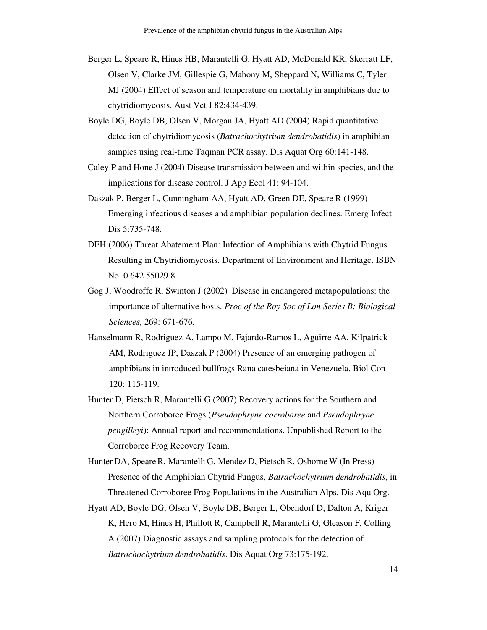- Berger L, Speare R, Hines HB, Marantelli G, Hyatt AD, McDonald KR, Skerratt LF, Olsen V, Clarke JM, Gillespie G, Mahony M, Sheppard N, Williams C, Tyler MJ (2004) Effect of season and temperature on mortality in amphibians due to chytridiomycosis. Aust Vet J 82:434-439.
- Boyle DG, Boyle DB, Olsen V, Morgan JA, Hyatt AD (2004) Rapid quantitative detection of chytridiomycosis (*Batrachochytrium dendrobatidis*) in amphibian samples using real-time Taqman PCR assay. Dis Aquat Org 60:141-148.
- Caley P and Hone J (2004) Disease transmission between and within species, and the implications for disease control. J App Ecol 41: 94-104.
- Daszak P, Berger L, Cunningham AA, Hyatt AD, Green DE, Speare R (1999) Emerging infectious diseases and amphibian population declines. Emerg Infect Dis 5:735-748.
- DEH (2006) Threat Abatement Plan: Infection of Amphibians with Chytrid Fungus Resulting in Chytridiomycosis. Department of Environment and Heritage. ISBN No. 0 642 55029 8.
- Gog J, Woodroffe R, Swinton J (2002) Disease in endangered metapopulations: the importance of alternative hosts. *Proc of the Roy Soc of Lon Series B: Biological Sciences*, 269: 671-676.
- Hanselmann R, Rodriguez A, Lampo M, Fajardo-Ramos L, Aguirre AA, Kilpatrick AM, Rodriguez JP, Daszak P (2004) Presence of an emerging pathogen of amphibians in introduced bullfrogs Rana catesbeiana in Venezuela. Biol Con 120: 115-119.
- Hunter D, Pietsch R, Marantelli G (2007) Recovery actions for the Southern and Northern Corroboree Frogs (*Pseudophryne corroboree* and *Pseudophryne pengilleyi*): Annual report and recommendations. Unpublished Report to the Corroboree Frog Recovery Team.
- Hunter DA, Speare R, Marantelli G, Mendez D, Pietsch R, Osborne W (In Press) Presence of the Amphibian Chytrid Fungus, *Batrachochytrium dendrobatidis*, in Threatened Corroboree Frog Populations in the Australian Alps. Dis Aqu Org.
- Hyatt AD, Boyle DG, Olsen V, Boyle DB, Berger L, Obendorf D, Dalton A, Kriger K, Hero M, Hines H, Phillott R, Campbell R, Marantelli G, Gleason F, Colling A (2007) Diagnostic assays and sampling protocols for the detection of *Batrachochytrium dendrobatidis*. Dis Aquat Org 73:175-192.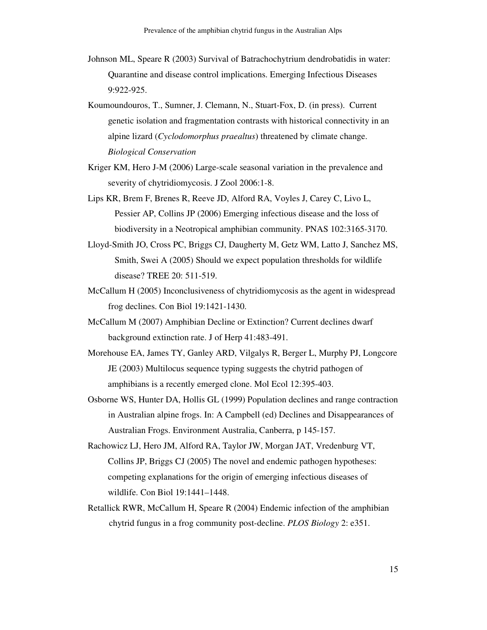- Johnson ML, Speare R (2003) Survival of Batrachochytrium dendrobatidis in water: Quarantine and disease control implications. Emerging Infectious Diseases 9:922-925.
- Koumoundouros, T., Sumner, J. Clemann, N., Stuart-Fox, D. (in press). Current genetic isolation and fragmentation contrasts with historical connectivity in an alpine lizard (*Cyclodomorphus praealtus*) threatened by climate change. *Biological Conservation*
- Kriger KM, Hero J-M (2006) Large-scale seasonal variation in the prevalence and severity of chytridiomycosis. J Zool 2006:1-8.
- Lips KR, Brem F, Brenes R, Reeve JD, Alford RA, Voyles J, Carey C, Livo L, Pessier AP, Collins JP (2006) Emerging infectious disease and the loss of biodiversity in a Neotropical amphibian community. PNAS 102:3165-3170.
- Lloyd-Smith JO, Cross PC, Briggs CJ, Daugherty M, Getz WM, Latto J, Sanchez MS, Smith, Swei A (2005) Should we expect population thresholds for wildlife disease? TREE 20: 511-519.
- McCallum H (2005) Inconclusiveness of chytridiomycosis as the agent in widespread frog declines. Con Biol 19:1421-1430.
- McCallum M (2007) Amphibian Decline or Extinction? Current declines dwarf background extinction rate. J of Herp 41:483-491.
- Morehouse EA, James TY, Ganley ARD, Vilgalys R, Berger L, Murphy PJ, Longcore JE (2003) Multilocus sequence typing suggests the chytrid pathogen of amphibians is a recently emerged clone. Mol Ecol 12:395-403.
- Osborne WS, Hunter DA, Hollis GL (1999) Population declines and range contraction in Australian alpine frogs. In: A Campbell (ed) Declines and Disappearances of Australian Frogs. Environment Australia, Canberra, p 145-157.
- Rachowicz LJ, Hero JM, Alford RA, Taylor JW, Morgan JAT, Vredenburg VT, Collins JP, Briggs CJ (2005) The novel and endemic pathogen hypotheses: competing explanations for the origin of emerging infectious diseases of wildlife. Con Biol 19:1441–1448.
- Retallick RWR, McCallum H, Speare R (2004) Endemic infection of the amphibian chytrid fungus in a frog community post-decline. *PLOS Biology* 2: e351.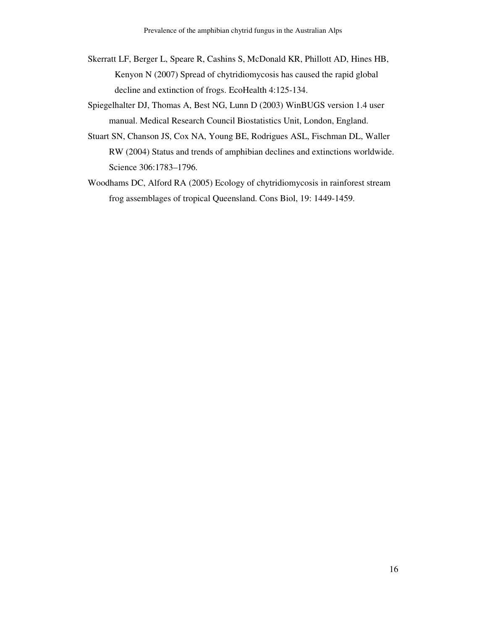- Skerratt LF, Berger L, Speare R, Cashins S, McDonald KR, Phillott AD, Hines HB, Kenyon N (2007) Spread of chytridiomycosis has caused the rapid global decline and extinction of frogs. EcoHealth 4:125-134.
- Spiegelhalter DJ, Thomas A, Best NG, Lunn D (2003) WinBUGS version 1.4 user manual. Medical Research Council Biostatistics Unit, London, England.
- Stuart SN, Chanson JS, Cox NA, Young BE, Rodrigues ASL, Fischman DL, Waller RW (2004) Status and trends of amphibian declines and extinctions worldwide. Science 306:1783–1796.
- Woodhams DC, Alford RA (2005) Ecology of chytridiomycosis in rainforest stream frog assemblages of tropical Queensland. Cons Biol, 19: 1449-1459.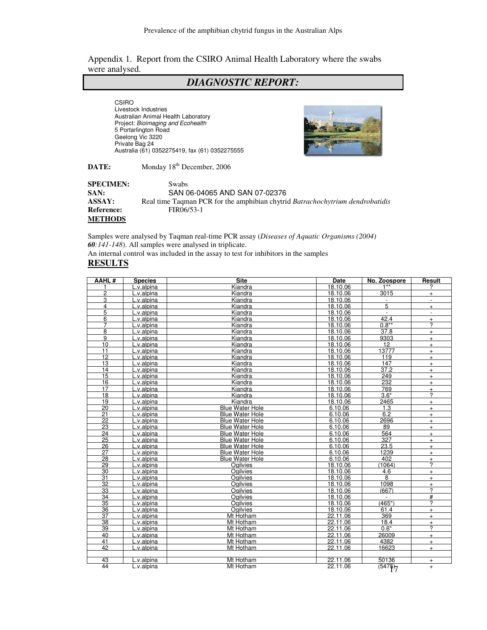Appendix 1. Report from the CSIRO Animal Health Laboratory where the swabs were analysed.

# *DIAGNOSTIC REPORT:*

 Livestock Industries Australian Animal Health Laboratory Project: Bioimaging and Ecohealth 5 Portarlington Road Geelong Vic 3220 Private Bag 24 Australia (61) 0352275419, fax (61) 0352275555 CSIRO



DATE: Monday 18<sup>th</sup> December, 2006

**SPECIMEN:** Swabs **SAN:** SAN 06-04065 AND SAN 07-02376 **ASSAY:** Real time Taqman PCR for the amphibian chytrid *Batrachochytrium dendrobatidis*  **Reference:** FIR06/53-1 **METHODS** 

 Samples were analysed by Taqman real-time PCR assay (*Diseases of Aquatic Organisms (2004) 60:141-148*). All samples were analysed in triplicate. An internal control was included in the assay to test for inhibitors in the samples

#### **RESULTS**

| AAHL#                   | <b>Species</b> | <b>Site</b>            | Date     | No. Zoospore             | Result                           |
|-------------------------|----------------|------------------------|----------|--------------------------|----------------------------------|
|                         | L.v.alpina     | Kiandra                | 18.10.06 | $1**$                    | 2                                |
| $\overline{\mathbf{c}}$ | L.v.alpina     | Kiandra                | 18.10.06 | 3015                     | $+$                              |
| 3                       | L.v.alpina     | Kiandra                | 18.10.06 |                          | $\overline{\phantom{a}}$         |
| 4                       | L.v.alpina     | Kiandra                | 18.10.06 | 5                        | $+$                              |
| 5                       | L.v.alpina     | Kiandra                | 18.10.06 | $\blacksquare$           | $\blacksquare$                   |
| 6                       | L.v.alpina     | Kiandra                | 18.10.06 | 42.4                     | $\begin{array}{c} + \end{array}$ |
| 7                       | L.v.alpina     | Kiandra                | 18.10.06 | $0.8**$                  | $\overline{?}$                   |
| $\overline{8}$          | L.v.alpina     | Kiandra                | 18.10.06 | 37.8                     | $+$                              |
| 9                       | L.v.alpina     | Kiandra                | 18.10.06 | 9303                     | $+$                              |
| 10                      | L.v.alpina     | Kiandra                | 18.10.06 | 12                       | $+$                              |
| 11                      | L.v.alpina     | Kiandra                | 18.10.06 | 13777                    | $+$                              |
| 12                      | L.v.alpina     | Kiandra                | 18.10.06 | 119                      | $+$                              |
| 13                      | L.v.alpina     | Kiandra                | 18.10.06 | 147                      | $+$                              |
| 14                      | .v.alpina      | Kiandra                | 18.10.06 | 37.2                     | $+$                              |
| 15                      | L.v.alpina     | Kiandra                | 18.10.06 | 249                      | $+$                              |
| 16                      | L.v.alpina     | Kiandra                | 18.10.06 | 232                      | $+$                              |
| 17                      | L.v.alpina     | Kiandra                | 18.10.06 | 769                      | $\ddot{}$                        |
| $\overline{18}$         | L.v.alpina     | Kiandra                | 18.10.06 | $3.6*$                   | 2                                |
| 19                      | L.v.alpina     | Kiandra                | 18.10.06 | 2465                     | $+$                              |
| 20                      | L.v.alpina     | <b>Blue Water Hole</b> | 6.10.06  | 1.3                      | $+$                              |
| 21                      | L.v.alpina     | <b>Blue Water Hole</b> | 6.10.06  | 6.2                      | $+$                              |
| 22                      | L.v.alpina     | <b>Blue Water Hole</b> | 6.10.06  | 2696                     | $+$                              |
| $\overline{23}$         | L.v.alpina     | <b>Blue Water Hole</b> | 6.10.06  | 89                       | $+$                              |
| 24                      | L.v.alpina     | <b>Blue Water Hole</b> | 6.10.06  | 564                      | $+$                              |
| 25                      | L.v.alpina     | <b>Blue Water Hole</b> | 6.10.06  | 327                      | $+$                              |
| 26                      | L.v.alpina     | <b>Blue Water Hole</b> | 6.10.06  | 23.5                     | $+$                              |
| $\overline{27}$         | L.v.alpina     | <b>Blue Water Hole</b> | 6.10.06  | 1239                     | $\ddot{}$                        |
| $\overline{28}$         | L.v.alpina     | <b>Blue Water Hole</b> | 6.10.06  | 402                      | $+$                              |
| 29                      | L.v.alpina     | Ogilvies               | 18.10.06 | (1064)                   | ?                                |
| 30                      | L.v.alpina     | <b>Ogilvies</b>        | 18.10.06 | 4.6                      | $+$                              |
| 31                      | L.v.alpina     | <b>Ogilvies</b>        | 18.10.06 | 8                        | $+$                              |
| 32                      | L.v.alpina     | Ogilvies               | 18.10.06 | 1098                     | $\ddot{}$                        |
| 33                      | L.v.alpina     | Ogilvies               | 18.10.06 | (667)                    | ?                                |
| 34                      | L.v.alpina     | <b>Ogilvies</b>        | 18.10.06 | $\overline{\phantom{a}}$ | #                                |
| $\overline{35}$         | L.v.alpina     | Ogilvies               | 18.10.06 | $(465*)$                 | ?                                |
| 36                      | .v.alpina      | Oailvies               | 18.10.06 | 61.4                     | $+$                              |
| 37                      | L.v.alpina     | Mt Hotham              | 22.11.06 | 369                      | $+$                              |
| $\overline{38}$         | L.v.alpina     | Mt Hotham              | 22.11.06 | 18.4                     | $+$                              |
| 39                      | L.v.alpina     | Mt Hotham              | 22.11.06 | $0.6*$                   | ?                                |
| 40                      | L.v.alpina     | Mt Hotham              | 22.11.06 | 26009                    | $+$                              |
| 41                      | L.v.alpina     | Mt Hotham              | 22.11.06 | 4382                     | $+$                              |
| 42                      | L.v.alpina     | Mt Hotham              | 22.11.06 | 16623                    | $+$                              |
|                         |                |                        |          |                          |                                  |
| 43                      | L.v.alpina     | Mt Hotham              | 22.11.06 | 50136                    | $+$                              |
| 44                      | L.v.alpina     | Mt Hotham              | 22.11.06 | (5475)                   | $+$                              |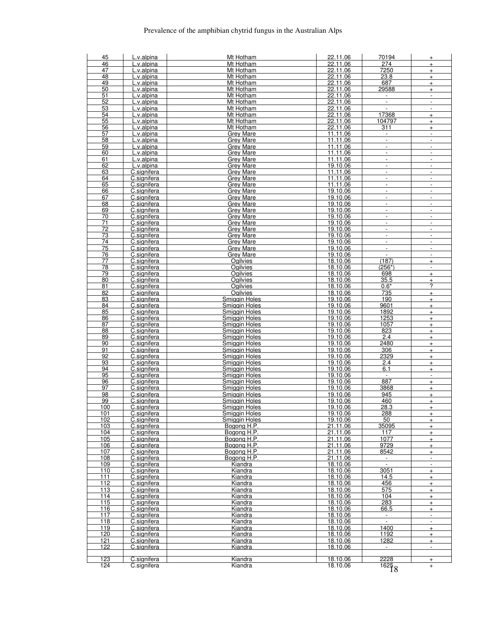| 45              | L.v.alpina                 | Mt Hotham                    | 22.11.06             | 70194                    | $+$                                        |
|-----------------|----------------------------|------------------------------|----------------------|--------------------------|--------------------------------------------|
| 46              | L.v.alpina                 | Mt Hotham                    | 22.11.06             | 274                      | $+$                                        |
| 47              | L.v.alpina                 | Mt Hotham                    | 22.11.06             | 7250                     | $\ddot{}$                                  |
| 48              | L.v.alpina                 | Mt Hotham                    | 22.11.06             | 23.8                     | $+$                                        |
| 49              | L.v.alpina                 | Mt Hotham                    | 22.11.06             | 687                      | $+$                                        |
| 50              | L.v.alpina                 | Mt Hotham                    | 22.11.06             | 29588                    | $+$                                        |
| 51              | L.v.alpina                 | Mt Hotham<br>Mt Hotham       | 22.11.06             | $\Box$                   | $\blacksquare$                             |
| 52              | L.v.alpina                 | Mt Hotham                    | 22.11.06<br>22.11.06 | $\overline{a}$           | $\overline{\phantom{a}}$<br>$\blacksquare$ |
| 53<br>54        | L.v.alpina                 | Mt Hotham                    | 22.11.06             | 17368                    |                                            |
| 55              | L.v.alpina<br>L.v.alpina   | Mt Hotham                    | 22.11.06             | 104797                   | $+$<br>$+$                                 |
| 56              | L.v.alpina                 | Mt Hotham                    | 22.11.06             | 311                      | $\ddot{}$                                  |
| 57              | L.v.alpina                 | <b>Grey Mare</b>             | 11.11.06             | $\blacksquare$           | $\blacksquare$                             |
| 58              | L.v.alpina                 | <b>Grey Mare</b>             | 11.11.06             | $\Box$                   | $\overline{\phantom{a}}$                   |
| 59              | L.v.alpina                 | <b>Grey Mare</b>             | 11.11.06             | $\overline{a}$           | $\overline{\phantom{a}}$                   |
| 60              | L.v.alpina                 | Grey Mare                    | 11.11.06             | $\overline{\phantom{a}}$ | $\overline{\phantom{a}}$                   |
| 61              | L.v.alpina                 | Grey Mare                    | 11.11.06             | $\blacksquare$           | $\blacksquare$                             |
| 62              | L.v.alpina                 | <b>Grev Mare</b>             | 19.10.06             | $\overline{\phantom{a}}$ | $\blacksquare$                             |
| 63              | C.signifera                | <b>Grey Mare</b>             | 11.11.06             | $\overline{\phantom{a}}$ | $\blacksquare$                             |
| 64              | C.signifera                | Grey Mare                    | 11.11.06             | $\Box$                   | $\overline{\phantom{a}}$                   |
| 65              | C.signifera                | <b>Grey Mare</b>             | 11.11.06             | $\overline{\phantom{a}}$ | $\blacksquare$                             |
| 66              | C.signifera                | Grey Mare                    | 19.10.06             | $\overline{\phantom{a}}$ | $\overline{\phantom{a}}$                   |
| 67              | C.signifera                | Grey Mare                    | 19.10.06             | $\overline{\phantom{a}}$ | $\overline{\phantom{a}}$                   |
| 68              | C.signifera                | <b>Grey Mare</b>             | 19.10.06             | $\frac{1}{2}$            | $\overline{\phantom{a}}$                   |
| 69              | C.signifera                | <b>Grey Mare</b>             | 19.10.06             | $\blacksquare$           | $\blacksquare$                             |
| 70              | C.signifera                | Grey Mare                    | 19.10.06             | $\overline{\phantom{a}}$ | $\overline{\phantom{a}}$                   |
| 71              | C.signifera                | <b>Grey Mare</b>             | 19.10.06             | $\frac{1}{2}$            | $\overline{\phantom{a}}$                   |
| 72              | C.signifera                | Grey Mare                    | 19.10.06             | $\overline{\phantom{a}}$ | $\overline{\phantom{a}}$                   |
| 73              | C.signifera                | Grey Mare                    | 19.10.06             | $\overline{\phantom{a}}$ | $\blacksquare$                             |
| 74              | C.signifera                | <b>Grey Mare</b>             | 19.10.06             | $\overline{\phantom{a}}$ | $\overline{\phantom{a}}$                   |
| 75              | C.signifera                | Grey Mare                    | 19.10.06             | $\overline{\phantom{a}}$ | $\overline{\phantom{a}}$                   |
| 76              | C.signifera                | <b>Grey Mare</b>             | 19.10.06             | $\overline{\phantom{a}}$ | $\overline{\phantom{a}}$                   |
| 77              | C.signifera                | Ogilvies                     | 18.10.06             | (187)                    | $+$                                        |
| 78<br>79        | C.signifera                | Ogilvies                     | 18.10.06<br>18.10.06 | $(256*)$<br>698          | $\overline{\phantom{a}}$                   |
| 80              | C.signifera<br>C.signifera | Ogilvies<br>Ogilvies         | 18.10.06             | 35.5                     | $+$<br>$\ddot{}$                           |
| 81              | C.signifera                | Ogilvies                     | 18.10.06             | $0.6*$                   | ?                                          |
| 82              | C.signifera                | Ogilvies                     | 18.10.06             | 735                      | $+$                                        |
| 83              | C.signifera                | Smiggin Holes                | 19.10.06             | 190                      | $\ddot{}$                                  |
| 84              | C.signifera                | <b>Smiggin Holes</b>         | 19.10.06             | 9601                     | $+$                                        |
| 85              | C.signifera                | Smiggin Holes                | 19.10.06             | 1892                     | $+$                                        |
| 86              | C.signifera                | Smiggin Holes                | 19.10.06             | 1253                     | $+$                                        |
| 87              | C.signifera                | Smiggin Holes                | 19.10.06             | 1057                     | $+$                                        |
| 88              | C.signifera                | Smiggin Holes                | 19.10.06             | 823                      | $+$                                        |
| 89              | C.signifera                | Smiggin Holes                | 19.10.06             | 2.4                      | $+$                                        |
| 90              | C.signifera                | <b>Smiggin Holes</b>         | 19.10.06             | 2480                     | $+$                                        |
| 91              | C.signifera                | Smiggin Holes                | 19.10.06             | 306                      | $\ddot{}$                                  |
| 92              | C.signifera                | <b>Smiggin Holes</b>         | 19.10.06             | 2329                     | $\ddot{}$                                  |
| 93              | C.signifera                | Smiggin Holes                | 19.10.06             | 2.4                      | $+$                                        |
| 94              | C.signifera                | Smiggin Holes                | 19.10.06             | 6.1                      | $\ddot{}$                                  |
| 95              | C.signifera                | Smiggin Holes                | 19.10.06             | $\overline{\phantom{a}}$ | $\blacksquare$                             |
| 96              | C.signifera                | Smiggin Holes                | 19.10.06             | 887                      | $+$                                        |
| 97              | C.signifera                | Smiggin Holes                | 19.10.06             | 3868                     | $\ddot{}$                                  |
| 98              | C.signifera                | Smiggin Holes                | 19.10.06             | 945                      | $\ddot{}$                                  |
| 99              | C.signifera                | <b>Smiggin Holes</b>         | 19.10.06             | 460                      | $+$                                        |
| 100             | C.signifera                | Smiggin Holes                | 19.10.06             | 28.3                     | $+$                                        |
| 101<br>102      | C.signifera<br>C.signifera | Smiggin Holes                | 19.10.06             | 288                      | $+$                                        |
| 103             | C.signifera                | Smiggin Holes<br>Bogong H.P. | 19.10.06<br>21.11.06 | 50<br>35095              | $+$                                        |
| 104             | C.signifera                | Bogong H.P.                  | 21.11.06             | 117                      | $+$<br>$\ddot{}$                           |
| 105             | C.signifera                | Bogong H.P.                  | 21.11.06             | 1077                     | $+$                                        |
| 106             | C.signifera                | Bogong H.P.                  | 21.11.06             | 9729                     | $\pm$                                      |
| 107             | C.signifera                | Bogong H.P.                  | 21.11.06             | 8542                     | $\ddot{}$                                  |
| 108             | C.signifera                | Bogong H.P.                  | 21.11.06             | $\overline{\phantom{a}}$ | $\overline{\phantom{a}}$                   |
| $\frac{1}{109}$ | C.signifera                | Kiandra                      | 18.10.06             | $\blacksquare$           | $\overline{\phantom{a}}$                   |
| 110             | C.signifera                | Kiandra                      | 18.10.06             | 3051                     | $\ddot{}$                                  |
| 111             | C.signifera                | Kiandra                      | 18.10.06             | 14.5                     | $+$                                        |
| 112             | C.signifera                | Kiandra                      | 18.10.06             | 456                      | $+$                                        |
| 113             | C.signifera                | Kiandra                      | 18.10.06             | 575                      | $\ddot{}$                                  |
| 114             | C.signifera                | Kiandra                      | 18.10.06             | 104                      | $+$                                        |
| 115             | C.signifera                | Kiandra                      | 18.10.06             | 283                      | $\pm$                                      |
| 116             | C.signifera                | Kiandra                      | 18.10.06             | 66.5                     | $+$                                        |
| 117             | C.signifera                | Kiandra                      | 18.10.06             | $\overline{\phantom{a}}$ | $\overline{\phantom{a}}$                   |
| 118             | C.signifera                | Kiandra                      | 18.10.06             |                          | $\overline{\phantom{a}}$                   |
| 119             | C.signifera                | Kiandra                      | 18.10.06             | 1400                     | $+$                                        |
| 120             | C.signifera                | Kiandra                      | 18.10.06             | 1192                     | $+$                                        |
| 121             | C.signifera                | Kiandra                      | 18.10.06             | 1282                     | $+$                                        |
| 122             | C.signifera                | Kiandra                      | 18.10.06             | $\blacksquare$           | $\overline{\phantom{a}}$                   |
|                 |                            |                              |                      |                          |                                            |
| 123             | C.signifera                | Kiandra                      | 18.10.06             | 2228                     | $\ddot{}$                                  |
| 124             | C.signifera                | Kiandra                      | 18.10.06             | 16258                    | $\begin{array}{c} + \end{array}$           |